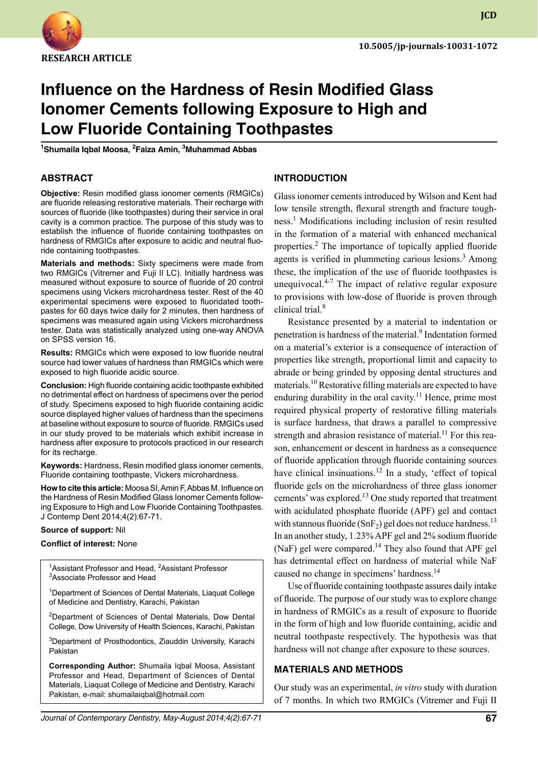

**JCD**

# **Influence on the Hardness of Resin Modified Glass Ionomer Cements following Exposure to High and Low Fluoride Containing Toothpastes**

**1 Shumaila Iqbal Moosa, <sup>2</sup> Faiza Amin, <sup>3</sup> Muhammad Abbas**

#### **ABSTRACT**

**Objective:** Resin modified glass ionomer cements (RMGICs) are fluoride releasing restorative materials. Their recharge with sources of fluoride (like toothpastes) during their service in oral cavity is a common practice. The purpose of this study was to establish the influence of fluoride containing toothpastes on hardness of RMGICs after exposure to acidic and neutral fluoride containing toothpastes.

**Materials and methods:** Sixty specimens were made from two RMGICs (Vitremer and Fuji II LC). Initially hardness was measured without exposure to source of fluoride of 20 control specimens using Vickers microhardness tester. Rest of the 40 experimental specimens were exposed to fluoridated toothpastes for 60 days twice daily for 2 minutes, then hardness of specimens was measured again using Vickers microhardness tester. Data was statistically analyzed using one-way ANOVA on SPSS version 16.

**Results:** RMGICs which were exposed to low fluoride neutral source had lower values of hardness than RMGICs which were exposed to high fluoride acidic source.

**Conclusion:** High fluoride containing acidic toothpaste exhibited no detrimental effect on hardness of specimens over the period of study. Specimens exposed to high fluoride containing acidic source displayed higher values of hardness than the specimens at baseline without exposure to source of fluoride. RMGICs used in our study proved to be materials which exhibit increase in hardness after exposure to protocols practiced in our research for its recharge.

**Keywords:** Hardness, Resin modified glass ionomer cements, Fluoride containing toothpaste, Vickers microhardness.

**How to cite this article:** Moosa SI, Amin F, Abbas M. Influence on the Hardness of Resin Modified Glass Ionomer Cements following Exposure to High and Low Fluoride Containing Toothpastes. J Contemp Dent 2014;4(2):67-71.

#### **Source of support:** Nil

#### **Conflict of interest:** None

<sup>1</sup>Assistant Professor and Head, <sup>2</sup>Assistant Professor 3 Associate Professor and Head

<sup>1</sup>Department of Sciences of Dental Materials, Liaquat College of Medicine and Dentistry, Karachi, Pakistan

<sup>2</sup>Department of Sciences of Dental Materials, Dow Dental College, Dow University of Health Sciences, Karachi, Pakistan

3 Department of Prosthodontics, Ziauddin University, Karachi Pakistan

**Corresponding Author:** Shumaila Iqbal Moosa, Assistant Professor and Head, Department of Sciences of Dental Materials, Liaquat College of Medicine and Dentistry, Karachi Pakistan, e-mail: shumailaiqbal@hotmail.com

#### **Introduction**

Glass ionomer cements introduced by Wilson and Kent had low tensile strength, flexural strength and fracture toughness.<sup>1</sup> Modifications including inclusion of resin resulted in the formation of a material with enhanced mechanical properties.<sup>2</sup> The importance of topically applied fluoride agents is verified in plummeting carious lesions.<sup>3</sup> Among these, the implication of the use of fluoride toothpastes is unequivocal. $4-7$  The impact of relative regular exposure to provisions with low-dose of fluoride is proven through clinical trial.<sup>8</sup>

Resistance presented by a material to indentation or penetration is hardness of the material.<sup>9</sup> Indentation formed on a material's exterior is a consequence of interaction of properties like strength, proportional limit and capacity to abrade or being grinded by opposing dental structures and materials.10 Restorative filling materials are expected to have enduring durability in the oral cavity.<sup>11</sup> Hence, prime most required physical property of restorative filling materials is surface hardness, that draws a parallel to compressive strength and abrasion resistance of material.<sup>11</sup> For this reason, enhancement or descent in hardness as a consequence of fluoride application through fluoride containing sources have clinical insinuations.<sup>12</sup> In a study, 'effect of topical fluoride gels on the microhardness of three glass ionomer cements' was explored.<sup>13</sup> One study reported that treatment with acidulated phosphate fluoride (APF) gel and contact with stannous fluoride (SnF<sub>2</sub>) gel does not reduce hardness.<sup>13</sup> In an another study, 1.23% APF gel and 2% sodium fluoride (NaF) gel were compared.<sup>14</sup> They also found that APF gel has detrimental effect on hardness of material while NaF caused no change in specimens' hardness.<sup>14</sup>

Use of fluoride containing toothpaste assures daily intake of fluoride. The purpose of our study was to explore change in hardness of RMGICs as a result of exposure to fluoride in the form of high and low fluoride containing, acidic and neutral toothpaste respectively. The hypothesis was that hardness will not change after exposure to these sources.

#### **MATERIALS AND METHODs**

Our study was an experimental, *in vitro* study with duration of 7 months. In which two RMGICs (Vitremer and Fuji II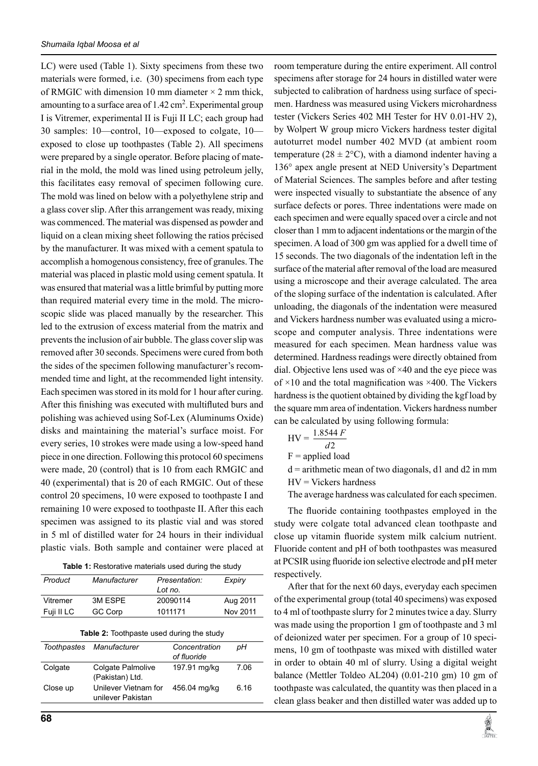LC) were used (Table 1). Sixty specimens from these two materials were formed, i.e. (30) specimens from each type of RMGIC with dimension 10 mm diameter  $\times$  2 mm thick, amounting to a surface area of  $1.42 \text{ cm}^2$ . Experimental group I is Vitremer, experimental II is Fuji II LC; each group had 30 samples: 10—control, 10—exposed to colgate, 10 exposed to close up toothpastes (Table 2). All specimens were prepared by a single operator. Before placing of material in the mold, the mold was lined using petroleum jelly, this facilitates easy removal of specimen following cure. The mold was lined on below with a polyethylene strip and a glass cover slip. After this arrangement was ready, mixing was commenced. The material was dispensed as powder and liquid on a clean mixing sheet following the ratios précised by the manufacturer. It was mixed with a cement spatula to accomplish a homogenous consistency, free of granules. The material was placed in plastic mold using cement spatula. It was ensured that material was a little brimful by putting more than required material every time in the mold. The microscopic slide was placed manually by the researcher. This led to the extrusion of excess material from the matrix and prevents the inclusion of air bubble. The glass cover slip was removed after 30 seconds. Specimens were cured from both the sides of the specimen following manufacturer's recommended time and light, at the recommended light intensity. Each specimen was stored in its mold for 1 hour after curing. After this finishing was executed with multifluted burs and polishing was achieved using Sof-Lex (Aluminums Oxide) disks and maintaining the material's surface moist. For every series, 10 strokes were made using a low-speed hand piece in one direction. Following this protocol 60 specimens were made, 20 (control) that is 10 from each RMGIC and 40 (experimental) that is 20 of each RMGIC. Out of these control 20 specimens, 10 were exposed to toothpaste I and remaining 10 were exposed to toothpaste II. After this each specimen was assigned to its plastic vial and was stored in 5 ml of distilled water for 24 hours in their individual plastic vials. Both sample and container were placed at

| Table 1: Restorative materials used during the study |  |  |  |
|------------------------------------------------------|--|--|--|
|------------------------------------------------------|--|--|--|

| Product    | Manufacturer | Presentation:<br>Lot no. | Expiry   |
|------------|--------------|--------------------------|----------|
| Vitremer   | 3M ESPE      | 20090114                 | Aug 2011 |
| Fuji II LC | GC Corp      | 1011171                  | Nov 2011 |

| <b>Table 2:</b> Toothpaste used during the study |  |
|--------------------------------------------------|--|
|--------------------------------------------------|--|

|          | Toothpastes Manufacturer                    | Concentration<br>of fluoride | pН   |
|----------|---------------------------------------------|------------------------------|------|
| Colgate  | <b>Colgate Palmolive</b><br>(Pakistan) Ltd. | 197.91 mg/kg                 | 7.06 |
| Close up | Unilever Vietnam for<br>unilever Pakistan   | 456.04 mg/kg                 | 6.16 |

room temperature during the entire experiment. All control specimens after storage for 24 hours in distilled water were subjected to calibration of hardness using surface of specimen. Hardness was measured using Vickers microhardness tester (Vickers Series 402 MH Tester for HV 0.01-HV 2), by Wolpert W group micro Vickers hardness tester digital autoturret model number 402 MVD (at ambient room temperature ( $28 \pm 2$ °C), with a diamond indenter having a 136° apex angle present at NED University's Department of Material Sciences. The samples before and after testing were inspected visually to substantiate the absence of any surface defects or pores. Three indentations were made on each specimen and were equally spaced over a circle and not closer than 1 mm to adjacent indentations or the margin of the specimen. A load of 300 gm was applied for a dwell time of 15 seconds. The two diagonals of the indentation left in the surface of the material after removal of the load are measured using a microscope and their average calculated. The area of the sloping surface of the indentation is calculated. After unloading, the diagonals of the indentation were measured and Vickers hardness number was evaluated using a microscope and computer analysis. Three indentations were measured for each specimen. Mean hardness value was determined. Hardness readings were directly obtained from dial. Objective lens used was of  $\times$ 40 and the eye piece was of  $\times$ 10 and the total magnification was  $\times$ 400. The Vickers hardness is the quotient obtained by dividing the kgf load by the square mm area of indentation. Vickers hardness number can be calculated by using following formula:

$$
HV = \frac{1.8544 F}{d2}
$$

 $F =$  applied load

 $d =$  arithmetic mean of two diagonals, d1 and d2 in mm HV = Vickers hardness

The average hardness was calculated for each specimen.

The fluoride containing toothpastes employed in the study were colgate total advanced clean toothpaste and close up vitamin fluoride system milk calcium nutrient. Fluoride content and pH of both toothpastes was measured at PCSIR using fluoride ion selective electrode and pH meter respectively.

After that for the next 60 days, everyday each specimen of the experimental group (total 40 specimens) was exposed to 4 ml of toothpaste slurry for 2 minutes twice a day. Slurry was made using the proportion 1 gm of toothpaste and 3 ml of deionized water per specimen. For a group of 10 specimens, 10 gm of toothpaste was mixed with distilled water in order to obtain 40 ml of slurry. Using a digital weight balance (Mettler Toldeo AL204) (0.01-210 gm) 10 gm of toothpaste was calculated, the quantity was then placed in a clean glass beaker and then distilled water was added up to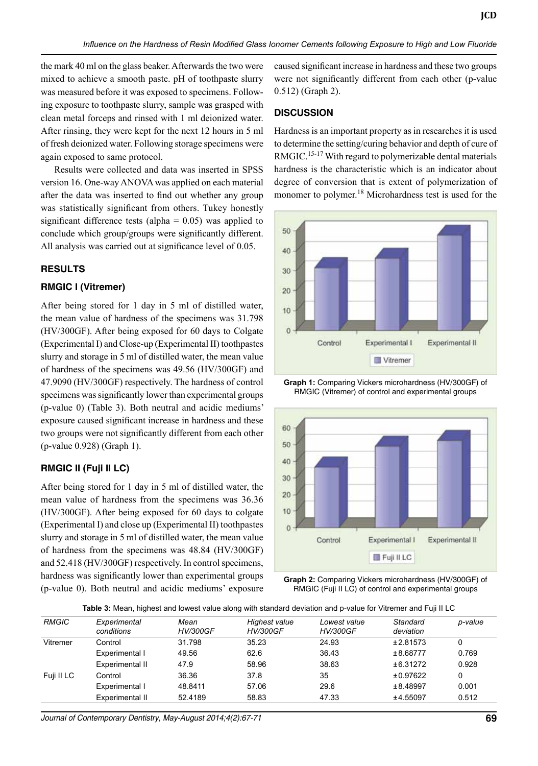the mark 40 ml on the glass beaker. Afterwards the two were mixed to achieve a smooth paste. pH of toothpaste slurry was measured before it was exposed to specimens. Following exposure to toothpaste slurry, sample was grasped with clean metal forceps and rinsed with 1 ml deionized water. After rinsing, they were kept for the next 12 hours in 5 ml of fresh deionized water. Following storage specimens were again exposed to same protocol.

Results were collected and data was inserted in SPSS version 16. One-way ANOVA was applied on each material after the data was inserted to find out whether any group was statistically significant from others. Tukey honestly significant difference tests (alpha  $= 0.05$ ) was applied to conclude which group/groups were significantly different. All analysis was carried out at significance level of 0.05.

## **RESULTS**

#### **RMGIC I (Vitremer)**

After being stored for 1 day in 5 ml of distilled water, the mean value of hardness of the specimens was 31.798 (HV/300GF). After being exposed for 60 days to colgate (Experimental I) and close-up (Experimental II) toothpastes slurry and storage in 5 ml of distilled water, the mean value of hardness of the specimens was 49.56 (HV/300GF) and 47.9090 (HV/300GF) respectively. The hardness of control specimens was significantly lower than experimental groups (p-value 0) (Table 3). Both neutral and acidic mediums' exposure caused significant increase in hardness and these two groups were not significantly different from each other (p-value 0.928) (Graph 1).

## **RMGIC II (Fuji II LC)**

After being stored for 1 day in 5 ml of distilled water, the mean value of hardness from the specimens was 36.36 (HV/300GF). After being exposed for 60 days to colgate (Experimental I) and close up (Experimental II) toothpastes slurry and storage in 5 ml of distilled water, the mean value of hardness from the specimens was 48.84 (HV/300GF) and 52.418 (HV/300GF) respectively. In control specimens, hardness was significantly lower than experimental groups (p-value 0). Both neutral and acidic mediums' exposure caused significant increase in hardness and these two groups were not significantly different from each other (p-value 0.512) (Graph 2).

**JCD**

## **DISCUSSION**

Hardness is an important property as in researches it is used to determine the setting/curing behavior and depth of cure of RMGIC.<sup>15-17</sup> With regard to polymerizable dental materials hardness is the characteristic which is an indicator about degree of conversion that is extent of polymerization of monomer to polymer.<sup>18</sup> Microhardness test is used for the



**Graph 1:** Comparing Vickers microhardness (HV/300GF) of RMGIC (vitremer) of control and experimental groups



**Graph 2:** Comparing Vickers microhardness (HV/300GF) of RMGIC (Fuji II LC) of control and experimental groups

| <b>RMGIC</b> | Experimental<br>conditions | Mean<br><b>HV/300GF</b> | Highest value<br><b>HV/300GF</b> | Lowest value<br><b>HV/300GF</b> | Standard<br>deviation | p-value |
|--------------|----------------------------|-------------------------|----------------------------------|---------------------------------|-----------------------|---------|
| Vitremer     | Control                    | 31.798                  | 35.23                            | 24.93                           | ±2.81573              | 0       |
|              | Experimental I             | 49.56                   | 62.6                             | 36.43                           | ±8.68777              | 0.769   |
|              | Experimental II            | 47.9                    | 58.96                            | 38.63                           | ±6.31272              | 0.928   |
| Fuji II LC   | Control                    | 36.36                   | 37.8                             | 35                              | ±0.97622              | 0       |
|              | Experimental I             | 48.8411                 | 57.06                            | 29.6                            | ±8.48997              | 0.001   |
|              | Experimental II            | 52.4189                 | 58.83                            | 47.33                           | ±4.55097              | 0.512   |
|              |                            |                         |                                  |                                 |                       |         |

*Journal of Contemporary Dentistry, May-August 2014;4(2):67-71* **69**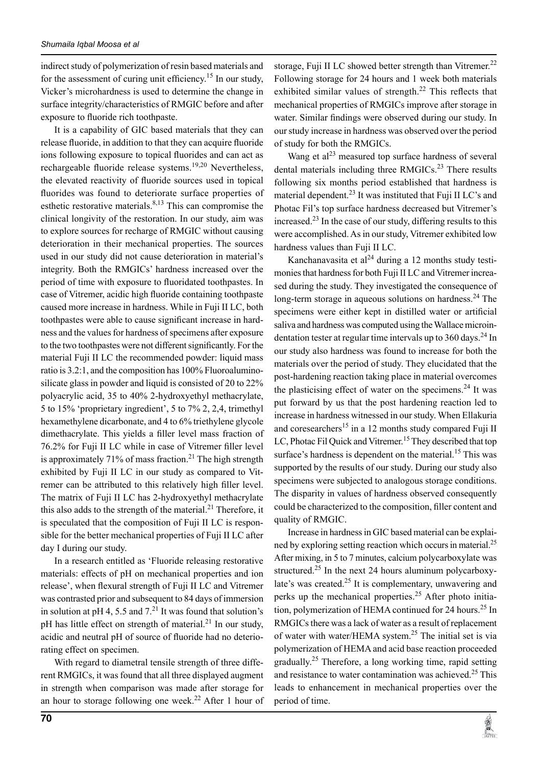indirect study of polymerization of resin based materials and for the assessment of curing unit efficiency.<sup>15</sup> In our study, Vicker's microhardness is used to determine the change in surface integrity/characteristics of RMGIC before and after exposure to fluoride rich toothpaste.

It is a capability of GIC based materials that they can release fluoride, in addition to that they can acquire fluoride ions following exposure to topical fluorides and can act as rechargeable fluoride release systems.<sup>19,20</sup> Nevertheless, the elevated reactivity of fluoride sources used in topical fluorides was found to deteriorate surface properties of esthetic restorative materials. $8,13$  This can compromise the clinical longivity of the restoration. In our study, aim was to explore sources for recharge of RMGIC without causing deterioration in their mechanical properties. The sources used in our study did not cause deterioration in material's integrity. Both the RMGICs' hardness increased over the period of time with exposure to fluoridated toothpastes. In case of Vitremer, acidic high fluoride containing toothpaste caused more increase in hardness. While in Fuji II LC, both toothpastes were able to cause significant increase in hardness and the values for hardness of specimens after exposure to the two toothpastes were not different significantly. For the material Fuji II LC the recommended powder: liquid mass ratio is 3.2:1, and the composition has 100% Fluoroaluminosilicate glass in powder and liquid is consisted of 20 to 22% polyacrylic acid, 35 to 40% 2-hydroxyethyl methacrylate, 5 to 15% 'proprietary ingredient', 5 to 7% 2, 2,4, trimethyl hexamethylene dicarbonate, and 4 to 6% triethylene glycole dimethacrylate. This yields a filler level mass fraction of 76.2% for Fuji II LC while in case of Vitremer filler level is approximately 71% of mass fraction.<sup>21</sup> The high strength exhibited by Fuji II LC in our study as compared to Vitremer can be attributed to this relatively high filler level. The matrix of Fuji II LC has 2-hydroxyethyl methacrylate this also adds to the strength of the material. $^{21}$  Therefore, it is speculated that the composition of Fuji II LC is responsible for the better mechanical properties of Fuji II LC after day I during our study.

In a research entitled as 'Fluoride releasing restorative materials: effects of pH on mechanical properties and ion release', when flexural strength of Fuji II LC and Vitremer was contrasted prior and subsequent to 84 days of immersion in solution at pH 4, 5.5 and  $7<sup>21</sup>$  It was found that solution's pH has little effect on strength of material.<sup>21</sup> In our study, acidic and neutral pH of source of fluoride had no deteriorating effect on specimen.

With regard to diametral tensile strength of three different RMGICs, it was found that all three displayed augment in strength when comparison was made after storage for an hour to storage following one week.<sup>22</sup> After 1 hour of storage, Fuji II LC showed better strength than Vitremer.<sup>22</sup> Following storage for 24 hours and 1 week both materials exhibited similar values of strength.<sup>22</sup> This reflects that mechanical properties of RMGICs improve after storage in water. Similar findings were observed during our study. In our study increase in hardness was observed over the period of study for both the RMGICs.

Wang et  $al^{23}$  measured top surface hardness of several dental materials including three RMGICs.<sup>23</sup> There results following six months period established that hardness is material dependent.<sup>23</sup> It was instituted that Fuji II LC's and Photac Fil's top surface hardness decreased but Vitremer's increased.<sup>23</sup> In the case of our study, differing results to this were accomplished. As in our study, Vitremer exhibited low hardness values than Fuji II LC.

Kanchanavasita et al<sup>24</sup> during a 12 months study testimonies that hardness for both Fuji II LC and Vitremer increased during the study. They investigated the consequence of long-term storage in aqueous solutions on hardness.<sup>24</sup> The specimens were either kept in distilled water or artificial saliva and hardness was computed using the Wallace microindentation tester at regular time intervals up to  $360 \text{ days}$ .<sup>24</sup> In our study also hardness was found to increase for both the materials over the period of study. They elucidated that the post-hardening reaction taking place in material overcomes the plasticising effect of water on the specimens.<sup>24</sup> It was put forward by us that the post hardening reaction led to increase in hardness witnessed in our study. When Ellakuria and coresearchers<sup>15</sup> in a 12 months study compared Fuji II LC, Photac Fil Quick and Vitremer.<sup>15</sup> They described that top surface's hardness is dependent on the material.<sup>15</sup> This was supported by the results of our study. During our study also specimens were subjected to analogous storage conditions. The disparity in values of hardness observed consequently could be characterized to the composition, filler content and quality of RMGIC.

Increase in hardness in GIC based material can be explained by exploring setting reaction which occurs in material.<sup>25</sup> After mixing, in 5 to 7 minutes, calcium polycarboxylate was structured.<sup>25</sup> In the next 24 hours aluminum polycarboxylate's was created.<sup>25</sup> It is complementary, unwavering and perks up the mechanical properties.<sup>25</sup> After photo initiation, polymerization of HEMA continued for 24 hours.<sup>25</sup> In RMGICs there was a lack of water as a result of replacement of water with water/HEMA system.<sup>25</sup> The initial set is via polymerization of HEMA and acid base reaction proceeded gradually.<sup>25</sup> Therefore, a long working time, rapid setting and resistance to water contamination was achieved.<sup>25</sup> This leads to enhancement in mechanical properties over the period of time.